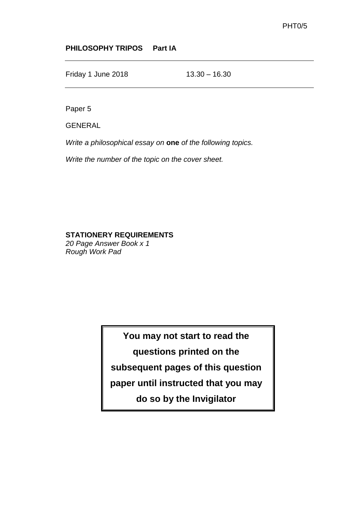## **PHILOSOPHY TRIPOS Part IA**

Friday 1 June 2018 13.30 – 16.30

Paper 5

GENERAL

*Write a philosophical essay on* **one** *of the following topics.* 

*Write the number of the topic on the cover sheet.*

## **STATIONERY REQUIREMENTS**

*20 Page Answer Book x 1 Rough Work Pad*

> **You may not start to read the questions printed on the subsequent pages of this question paper until instructed that you may do so by the Invigilator**